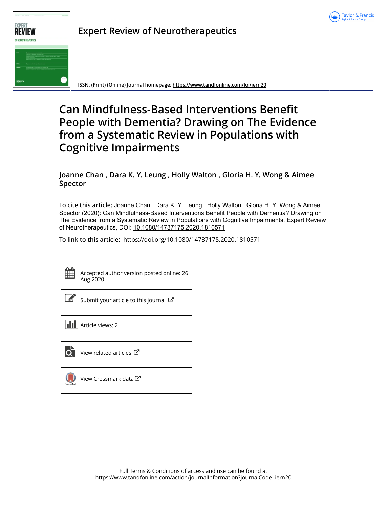



**Expert Review of Neurotherapeutics**

**ISSN: (Print) (Online) Journal homepage:<https://www.tandfonline.com/loi/iern20>**

# **Can Mindfulness-Based Interventions Benefit People with Dementia? Drawing on The Evidence from a Systematic Review in Populations with Cognitive Impairments**

# **Joanne Chan , Dara K. Y. Leung , Holly Walton , Gloria H. Y. Wong & Aimee Spector**

**To cite this article:** Joanne Chan , Dara K. Y. Leung , Holly Walton , Gloria H. Y. Wong & Aimee Spector (2020): Can Mindfulness-Based Interventions Benefit People with Dementia? Drawing on The Evidence from a Systematic Review in Populations with Cognitive Impairments, Expert Review of Neurotherapeutics, DOI: [10.1080/14737175.2020.1810571](https://www.tandfonline.com/action/showCitFormats?doi=10.1080/14737175.2020.1810571)

**To link to this article:** <https://doi.org/10.1080/14737175.2020.1810571>



Accepted author version posted online: 26 Aug 2020.



 $\overline{\mathscr{L}}$  [Submit your article to this journal](https://www.tandfonline.com/action/authorSubmission?journalCode=iern20&show=instructions)  $\mathbb{Z}$ 

**Article views: 2** 



[View related articles](https://www.tandfonline.com/doi/mlt/10.1080/14737175.2020.1810571) C



[View Crossmark data](http://crossmark.crossref.org/dialog/?doi=10.1080/14737175.2020.1810571&domain=pdf&date_stamp=2020-08-26)<sup>C</sup>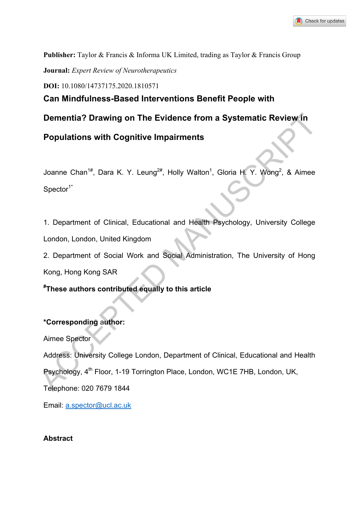**Publisher:** Taylor & Francis & Informa UK Limited, trading as Taylor & Francis Group

**Journal:** *Expert Review of Neurotherapeutics* 

**DOI:** 10.1080/14737175.2020.1810571

**Can Mindfulness-Based Interventions Benefit People with** 

**Dementia? Drawing on The Evidence from a Systematic Review in** 

**Populations with Cognitive Impairments** 

Joanne Chan<sup>1#</sup>, Dara K. Y. Leung<sup>2#</sup>, Holly Walton<sup>1</sup>, Gloria H. Y. Wong<sup>2</sup>, & Aimee  $Spector<sup>1*</sup>$ 

1. Department of Clinical, Educational and Health Psychology, University College London, London, United Kingdom

2. Department of Social Work and Social Administration, The University of Hong Kong, Hong Kong SAR

**# These authors contributed equally to this article** 

# **\*Corresponding** a**uthor:**

Aimee Spector

Address: University College London, Department of Clinical, Educational and Health Psychology, 4<sup>th</sup> Floor, 1-19 Torrington Place, London, WC1E 7HB, London, UK, Telephone: 020 7679 1844 Dementia? Drawing on The Evidence from a Systematic Review in<br>
Populations with Cognitive Impairments<br>
Joanne Chan<sup>18</sup>, Dara K. Y. Leung<sup>28</sup>, Holly Walton<sup>1</sup>, Gloria H. Y. Wong<sup>2</sup>, & Aimee<br>
Spector<sup>14</sup><br>
1. Department of Cl

Email: a.spector@ucl.ac.uk

## **Abstract**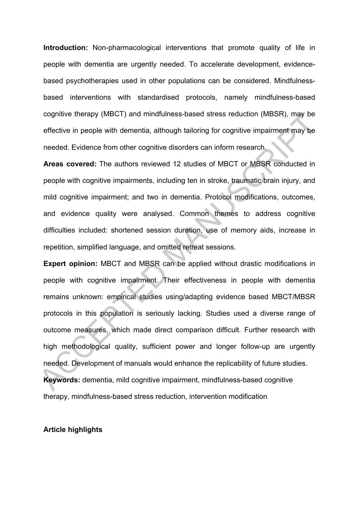**Introduction:** Non-pharmacological interventions that promote quality of life in people with dementia are urgently needed. To accelerate development, evidencebased psychotherapies used in other populations can be considered. Mindfulnessbased interventions with standardised protocols, namely mindfulness-based cognitive therapy (MBCT) and mindfulness-based stress reduction (MBSR), may be effective in people with dementia, although tailoring for cognitive impairment may be needed. Evidence from other cognitive disorders can inform research.

**Areas covered:** The authors reviewed 12 studies of MBCT or MBSR conducted in people with cognitive impairments, including ten in stroke, traumatic brain injury, and mild cognitive impairment; and two in dementia. Protocol modifications, outcomes, and evidence quality were analysed. Common themes to address cognitive difficulties included: shortened session duration, use of memory aids, increase in repetition, simplified language, and omitted retreat sessions.

**Expert opinion:** MBCT and MBSR can be applied without drastic modifications in people with cognitive impairment. Their effectiveness in people with dementia remains unknown: empirical studies using/adapting evidence based MBCT/MBSR protocols in this population is seriously lacking. Studies used a diverse range of outcome measures, which made direct comparison difficult. Further research with high methodological quality, sufficient power and longer follow-up are urgently needed. Development of manuals would enhance the replicability of future studies. **Keywords:** dementia, mild cognitive impairment, mindfulness-based cognitive therapy, mindfulness-based stress reduction, intervention modification cognitive therapy (MBCT) and mindtuiness-based stress reduction (MBSR), may be effective in people with dementia, although tailoring for cognitive impairment may be needed. Evidence from other cognitive disorders can infor

#### **Article highlights**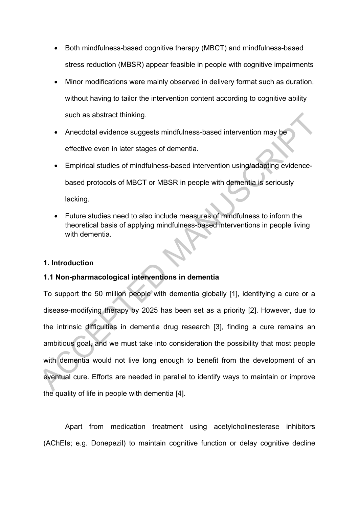- Both mindfulness-based cognitive therapy (MBCT) and mindfulness-based stress reduction (MBSR) appear feasible in people with cognitive impairments
- Minor modifications were mainly observed in delivery format such as duration, without having to tailor the intervention content according to cognitive ability such as abstract thinking.
- Anecdotal evidence suggests mindfulness-based intervention may be effective even in later stages of dementia.
- Empirical studies of mindfulness-based intervention using/adapting evidencebased protocols of MBCT or MBSR in people with dementia is seriously lacking.
- Future studies need to also include measures of mindfulness to inform the theoretical basis of applying mindfulness-based interventions in people living with dementia.

## **1. Introduction**

# **1.1 Non-pharmacological interventions in dementia**

To support the 50 million people with dementia globally [1], identifying a cure or a disease-modifying therapy by 2025 has been set as a priority [2]. However, due to the intrinsic difficulties in dementia drug research [3], finding a cure remains an ambitious goal, and we must take into consideration the possibility that most people with dementia would not live long enough to benefit from the development of an eventual cure. Efforts are needed in parallel to identify ways to maintain or improve the quality of life in people with dementia [4]. such as abstract thinking.<br>
• Anecdotal evidence suggests mindfulness-based intervention may be<br>
effective even in later stages of dementia.<br>
• Empirical studies of mindfulness-based intervention using/adapting evidence-<br>

 Apart from medication treatment using acetylcholinesterase inhibitors (AChEIs; e.g. Donepezil) to maintain cognitive function or delay cognitive decline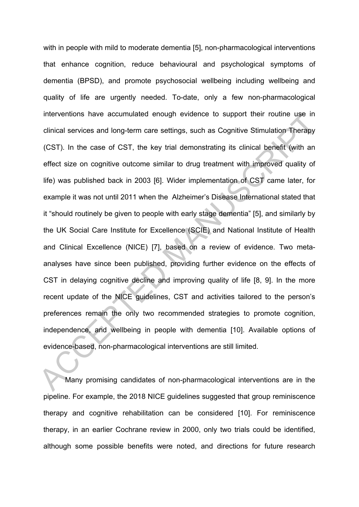with in people with mild to moderate dementia [5], non-pharmacological interventions that enhance cognition, reduce behavioural and psychological symptoms of dementia (BPSD), and promote psychosocial wellbeing including wellbeing and quality of life are urgently needed. To-date, only a few non-pharmacological interventions have accumulated enough evidence to support their routine use in clinical services and long-term care settings, such as Cognitive Stimulation Therapy (CST). In the case of CST, the key trial demonstrating its clinical benefit (with an effect size on cognitive outcome similar to drug treatment with improved quality of life) was published back in 2003 [6]. Wider implementation of CST came later, for example it was not until 2011 when the Alzheimer's Disease International stated that it "should routinely be given to people with early stage dementia" [5], and similarly by the UK Social Care Institute for Excellence (SCIE) and National Institute of Health and Clinical Excellence (NICE) [7], based on a review of evidence. Two metaanalyses have since been published, providing further evidence on the effects of CST in delaying cognitive decline and improving quality of life [8, 9]. In the more recent update of the NICE guidelines, CST and activities tailored to the person's preferences remain the only two recommended strategies to promote cognition, independence, and wellbeing in people with dementia [10]. Available options of evidence-based, non-pharmacological interventions are still limited. Interventions have accumulated enough evidence to support their routine use in clinical services and long-term care settings, such as Cognitive Stimulation Therapy (CST). In the case of CST, the key trial demonstrating its

 Many promising candidates of non-pharmacological interventions are in the pipeline. For example, the 2018 NICE guidelines suggested that group reminiscence therapy and cognitive rehabilitation can be considered [10]. For reminiscence therapy, in an earlier Cochrane review in 2000, only two trials could be identified, although some possible benefits were noted, and directions for future research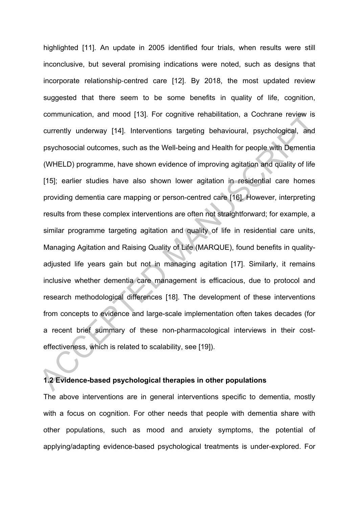highlighted [11]. An update in 2005 identified four trials, when results were still inconclusive, but several promising indications were noted, such as designs that incorporate relationship‐centred care [12]. By 2018, the most updated review suggested that there seem to be some benefits in quality of life, cognition, communication, and mood [13]. For cognitive rehabilitation, a Cochrane review is currently underway [14]. Interventions targeting behavioural, psychological, and psychosocial outcomes, such as the Well-being and Health for people with Dementia (WHELD) programme, have shown evidence of improving agitation and quality of life [15]; earlier studies have also shown lower agitation in residential care homes providing dementia care mapping or person-centred care [16]. However, interpreting results from these complex interventions are often not straightforward; for example, a similar programme targeting agitation and quality of life in residential care units, Managing Agitation and Raising Quality of Life (MARQUE), found benefits in qualityadjusted life years gain but not in managing agitation [17]. Similarly, it remains inclusive whether dementia care management is efficacious, due to protocol and research methodological differences [18]. The development of these interventions from concepts to evidence and large-scale implementation often takes decades (for a recent brief summary of these non-pharmacological interviews in their costeffectiveness, which is related to scalability, see [19]). communication, and mood [13]. For cognitive rehabilitation, a Cochrane review is<br>currently underway [14]. Interventions targeting behavioural, psychological, and<br>psychosocial outcomes, such as the Well-being and Health for

## **1.2 Evidence-based psychological therapies in other populations**

The above interventions are in general interventions specific to dementia, mostly with a focus on cognition. For other needs that people with dementia share with other populations, such as mood and anxiety symptoms, the potential of applying/adapting evidence-based psychological treatments is under-explored. For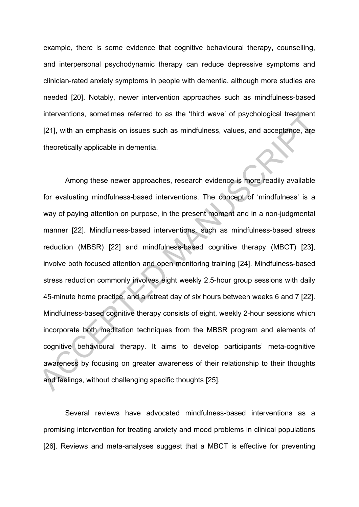example, there is some evidence that cognitive behavioural therapy, counselling, and interpersonal psychodynamic therapy can reduce depressive symptoms and clinician-rated anxiety symptoms in people with dementia, although more studies are needed [20]. Notably, newer intervention approaches such as mindfulness-based interventions, sometimes referred to as the 'third wave' of psychological treatment [21], with an emphasis on issues such as mindfulness, values, and acceptance, are theoretically applicable in dementia.

Among these newer approaches, research evidence is more readily available for evaluating mindfulness-based interventions. The concept of 'mindfulness' is a way of paying attention on purpose, in the present moment and in a non-judgmental manner [22]. Mindfulness-based interventions, such as mindfulness-based stress reduction (MBSR) [22] and mindfulness-based cognitive therapy (MBCT) [23], involve both focused attention and open monitoring training [24]. Mindfulness-based stress reduction commonly involves eight weekly 2.5-hour group sessions with daily 45-minute home practice, and a retreat day of six hours between weeks 6 and 7 [22]. Mindfulness-based cognitive therapy consists of eight, weekly 2-hour sessions which incorporate both meditation techniques from the MBSR program and elements of cognitive behavioural therapy. It aims to develop participants' meta-cognitive awareness by focusing on greater awareness of their relationship to their thoughts and feelings, without challenging specific thoughts [25]. Interventions, sometimes referred to as the 'third wave of psychological treatment<br>
[21], with an emphasis on issues such as mindfulness, values, and acceptance, are<br>
theoretically applicable in dementia.<br>
Among these newe

Several reviews have advocated mindfulness-based interventions as a promising intervention for treating anxiety and mood problems in clinical populations [26]. Reviews and meta-analyses suggest that a MBCT is effective for preventing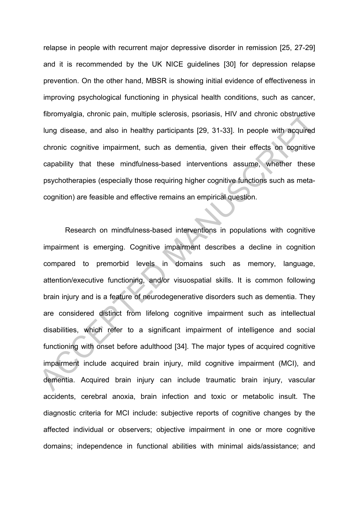relapse in people with recurrent major depressive disorder in remission [25, 27-29] and it is recommended by the UK NICE guidelines [30] for depression relapse prevention. On the other hand, MBSR is showing initial evidence of effectiveness in improving psychological functioning in physical health conditions, such as cancer, fibromyalgia, chronic pain, multiple sclerosis, psoriasis, HIV and chronic obstructive lung disease, and also in healthy participants [29, 31-33]. In people with acquired chronic cognitive impairment, such as dementia, given their effects on cognitive capability that these mindfulness-based interventions assume, whether these psychotherapies (especially those requiring higher cognitive functions such as metacognition) are feasible and effective remains an empirical question.

Research on mindfulness-based interventions in populations with cognitive impairment is emerging. Cognitive impairment describes a decline in cognition compared to premorbid levels in domains such as memory, language, attention/executive functioning, and/or visuospatial skills. It is common following brain injury and is a feature of neurodegenerative disorders such as dementia. They are considered distinct from lifelong cognitive impairment such as intellectual disabilities, which refer to a significant impairment of intelligence and social functioning with onset before adulthood [34]. The major types of acquired cognitive impairment include acquired brain injury, mild cognitive impairment (MCI), and dementia. Acquired brain injury can include traumatic brain injury, vascular accidents, cerebral anoxia, brain infection and toxic or metabolic insult. The diagnostic criteria for MCI include: subjective reports of cognitive changes by the affected individual or observers; objective impairment in one or more cognitive domains; independence in functional abilities with minimal aids/assistance; and nbromyalgia, chronic pain, multiple sclerosis, psonasis, HIV and chronic obstructive<br>lung disease, and also in healthy participants [29, 31-33]. In people with acquired<br>chronic cognitive impairment, such as dementia, given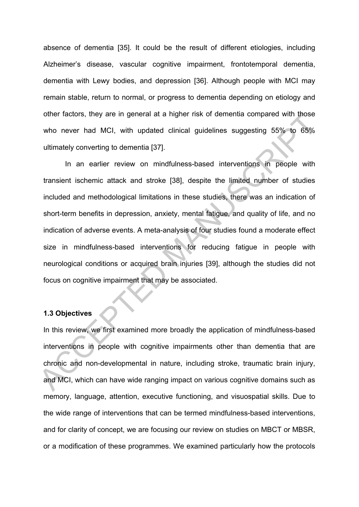absence of dementia [35]. It could be the result of different etiologies, including Alzheimer's disease, vascular cognitive impairment, frontotemporal dementia, dementia with Lewy bodies, and depression [36]. Although people with MCI may remain stable, return to normal, or progress to dementia depending on etiology and other factors, they are in general at a higher risk of dementia compared with those who never had MCI, with updated clinical guidelines suggesting 55% to 65% ultimately converting to dementia [37].

In an earlier review on mindfulness-based interventions in people with transient ischemic attack and stroke [38], despite the limited number of studies included and methodological limitations in these studies, there was an indication of short-term benefits in depression, anxiety, mental fatigue, and quality of life, and no indication of adverse events. A meta-analysis of four studies found a moderate effect size in mindfulness-based interventions for reducing fatigue in people with neurological conditions or acquired brain injuries [39], although the studies did not focus on cognitive impairment that may be associated. other factors, they are in general at a higher risk of dementia compared with those<br>who never had MCI, with updated clinical guidelines suggesting 55% to 65%<br>ultimately converting to dementia [37].<br>In an earlier review on

## **1.3 Objectives**

In this review, we first examined more broadly the application of mindfulness-based interventions in people with cognitive impairments other than dementia that are chronic and non-developmental in nature, including stroke, traumatic brain injury, and MCI, which can have wide ranging impact on various cognitive domains such as memory, language, attention, executive functioning, and visuospatial skills. Due to the wide range of interventions that can be termed mindfulness-based interventions, and for clarity of concept, we are focusing our review on studies on MBCT or MBSR, or a modification of these programmes. We examined particularly how the protocols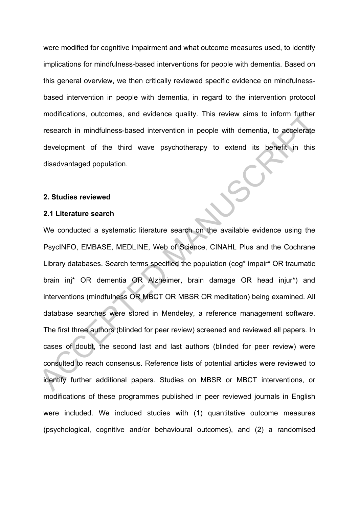were modified for cognitive impairment and what outcome measures used, to identify implications for mindfulness-based interventions for people with dementia. Based on this general overview, we then critically reviewed specific evidence on mindfulnessbased intervention in people with dementia, in regard to the intervention protocol modifications, outcomes, and evidence quality. This review aims to inform further research in mindfulness-based intervention in people with dementia, to accelerate development of the third wave psychotherapy to extend its benefit in this disadvantaged population.

#### **2. Studies reviewed**

#### **2.1 Literature search**

We conducted a systematic literature search on the available evidence using the PsycINFO, EMBASE, MEDLINE, Web of Science, CINAHL Plus and the Cochrane Library databases. Search terms specified the population (cog<sup>\*</sup> impair<sup>\*</sup> OR traumatic brain inj\* OR dementia OR Alzheimer, brain damage OR head injur\*) and interventions (mindfulness OR MBCT OR MBSR OR meditation) being examined. All database searches were stored in Mendeley, a reference management software. The first three authors (blinded for peer review) screened and reviewed all papers. In cases of doubt, the second last and last authors (blinded for peer review) were consulted to reach consensus. Reference lists of potential articles were reviewed to identify further additional papers. Studies on MBSR or MBCT interventions, or modifications of these programmes published in peer reviewed journals in English were included. We included studies with (1) quantitative outcome measures (psychological, cognitive and/or behavioural outcomes), and (2) a randomised modifications, outcomes, and evidence quality. This review aims to inform further<br>research in mindfulness-based intervention in people with dementia, to accelerate<br>development of the third wave psychotherapy to extend its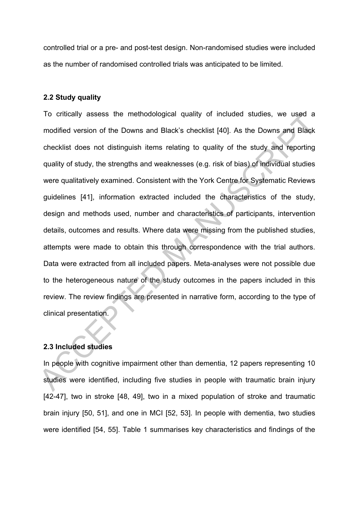controlled trial or a pre- and post-test design. Non-randomised studies were included as the number of randomised controlled trials was anticipated to be limited.

### **2.2 Study quality**

To critically assess the methodological quality of included studies, we used a modified version of the Downs and Black's checklist [40]. As the Downs and Black checklist does not distinguish items relating to quality of the study and reporting quality of study, the strengths and weaknesses (e.g. risk of bias) of individual studies were qualitatively examined. Consistent with the York Centre for Systematic Reviews guidelines [41], information extracted included the characteristics of the study, design and methods used, number and characteristics of participants, intervention details, outcomes and results. Where data were missing from the published studies, attempts were made to obtain this through correspondence with the trial authors. Data were extracted from all included papers. Meta-analyses were not possible due to the heterogeneous nature of the study outcomes in the papers included in this review. The review findings are presented in narrative form, according to the type of clinical presentation. To ontically assess the methodological quality of included studies, we used a<br>modified version of the Downs and Black's checklist [40]. As the Downs and Black<br>checklist does not distinguish items relating to quality of the

# **2.3 Included studies**

In people with cognitive impairment other than dementia, 12 papers representing 10 studies were identified, including five studies in people with traumatic brain injury [42-47], two in stroke [48, 49], two in a mixed population of stroke and traumatic brain injury [50, 51], and one in MCI [52, 53]. In people with dementia, two studies were identified [54, 55]. Table 1 summarises key characteristics and findings of the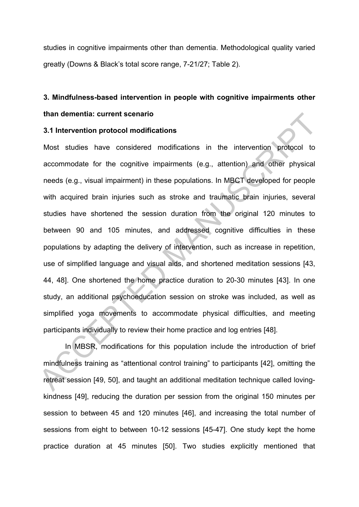studies in cognitive impairments other than dementia. Methodological quality varied greatly (Downs & Black's total score range, 7-21/27; Table 2).

# **3. Mindfulness-based intervention in people with cognitive impairments other than dementia: current scenario**

#### **3.1 Intervention protocol modifications**

Most studies have considered modifications in the intervention protocol to accommodate for the cognitive impairments (e.g., attention) and other physical needs (e.g., visual impairment) in these populations. In MBCT developed for people with acquired brain injuries such as stroke and traumatic brain injuries, several studies have shortened the session duration from the original 120 minutes to between 90 and 105 minutes, and addressed cognitive difficulties in these populations by adapting the delivery of intervention, such as increase in repetition, use of simplified language and visual aids, and shortened meditation sessions [43, 44, 48]. One shortened the home practice duration to 20-30 minutes [43]. In one study, an additional psychoeducation session on stroke was included, as well as simplified yoga movements to accommodate physical difficulties, and meeting participants individually to review their home practice and log entries [48]. 1.1 Intervention protocol modifications<br>
3.1 Intervention protocol modifications<br>
Most studies have considered modifications<br>
in the intervention protocol to<br>
accommodate for the cognitive impairments (e.g., attention) and

In MBSR, modifications for this population include the introduction of brief mindfulness training as "attentional control training" to participants [42], omitting the retreat session [49, 50], and taught an additional meditation technique called lovingkindness [49], reducing the duration per session from the original 150 minutes per session to between 45 and 120 minutes [46], and increasing the total number of sessions from eight to between 10-12 sessions [45-47]. One study kept the home practice duration at 45 minutes [50]. Two studies explicitly mentioned that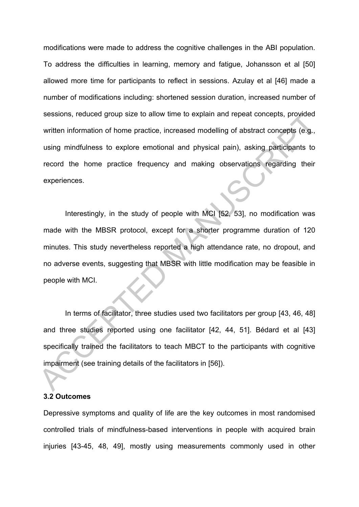modifications were made to address the cognitive challenges in the ABI population. To address the difficulties in learning, memory and fatigue, Johansson et al [50] allowed more time for participants to reflect in sessions. Azulay et al [46] made a number of modifications including: shortened session duration, increased number of sessions, reduced group size to allow time to explain and repeat concepts, provided written information of home practice, increased modelling of abstract concepts (e.g., using mindfulness to explore emotional and physical pain), asking participants to record the home practice frequency and making observations regarding their experiences.

Interestingly, in the study of people with MCI [52, 53], no modification was made with the MBSR protocol, except for a shorter programme duration of 120 minutes. This study nevertheless reported a high attendance rate, no dropout, and no adverse events, suggesting that MBSR with little modification may be feasible in people with MCI. sessions, reduced group size to allow time to explain and repeat concepts, provided<br>written information of home practice, increased modelling of abstract concepts (e.g.,<br>using mindfulness to explore emotional and physical

In terms of facilitator, three studies used two facilitators per group [43, 46, 48] and three studies reported using one facilitator [42, 44, 51]. Bédard et al [43] specifically trained the facilitators to teach MBCT to the participants with cognitive impairment (see training details of the facilitators in [56]).

#### **3.2 Outcomes**

Depressive symptoms and quality of life are the key outcomes in most randomised controlled trials of mindfulness-based interventions in people with acquired brain injuries [43-45, 48, 49], mostly using measurements commonly used in other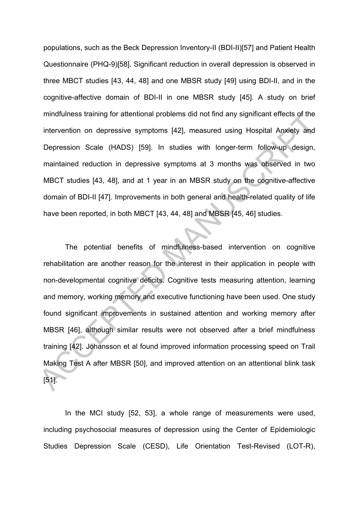populations, such as the Beck Depression Inventory-II (BDI-II)[57] and Patient Health Questionnaire (PHQ-9)[58]. Significant reduction in overall depression is observed in three MBCT studies [43, 44, 48] and one MBSR study [49] using BDI-II, and in the cognitive-affective domain of BDI-II in one MBSR study [45]. A study on brief mindfulness training for attentional problems did not find any significant effects of the intervention on depressive symptoms [42], measured using Hospital Anxiety and Depression Scale (HADS) [59]. In studies with longer-term follow-up design, maintained reduction in depressive symptoms at 3 months was observed in two MBCT studies [43, 48], and at 1 year in an MBSR study on the cognitive-affective domain of BDI-II [47]. Improvements in both general and health-related quality of life have been reported, in both MBCT [43, 44, 48] and MBSR [45, 46] studies.

The potential benefits of mindfulness-based intervention on cognitive rehabilitation are another reason for the interest in their application in people with non-developmental cognitive deficits. Cognitive tests measuring attention, learning and memory, working memory and executive functioning have been used. One study found significant improvements in sustained attention and working memory after MBSR [46], although similar results were not observed after a brief mindfulness training [42]. Johansson et al found improved information processing speed on Trail Making Test A after MBSR [50], and improved attention on an attentional blink task [51]. mindluiness training for attentional problems did not find any significant effects of the<br>intervention on depressive symptoms [42], measured using Hospital Anxiety and<br>Depression Scale (HADS) [59]. In studies with longer-t

In the MCI study [52, 53], a whole range of measurements were used, including psychosocial measures of depression using the Center of Epidemiologic Studies Depression Scale (CESD), Life Orientation Test-Revised (LOT-R),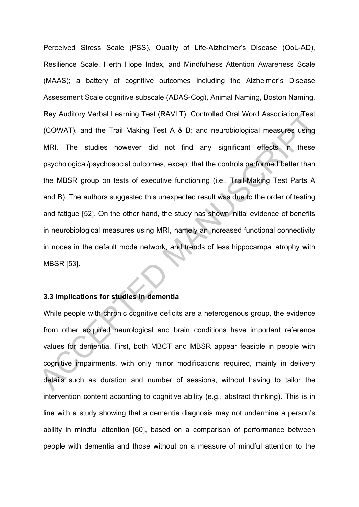Perceived Stress Scale (PSS), Quality of Life-Alzheimer's Disease (QoL-AD), Resilience Scale, Herth Hope Index, and Mindfulness Attention Awareness Scale (MAAS); a battery of cognitive outcomes including the Alzheimer's Disease Assessment Scale cognitive subscale (ADAS-Cog), Animal Naming, Boston Naming, Rey Auditory Verbal Learning Test (RAVLT), Controlled Oral Word Association Test (COWAT), and the Trail Making Test A & B; and neurobiological measures using MRI. The studies however did not find any significant effects in these psychological/psychosocial outcomes, except that the controls performed better than the MBSR group on tests of executive functioning (i.e., Trail-Making Test Parts A and B). The authors suggested this unexpected result was due to the order of testing and fatigue [52]. On the other hand, the study has shown initial evidence of benefits in neurobiological measures using MRI, namely an increased functional connectivity in nodes in the default mode network, and trends of less hippocampal atrophy with MBSR [53]. Ney Auditory verbal Learning lest (KAVLI), Controlled Oral Word Association lest<br>
(COWAT), and the Trail Making Test A & B; and neurobiological measures using<br>
MRI. The studies however did not find any significant effects

## **3.3 Implications for studies in dementia**

While people with chronic cognitive deficits are a heterogenous group, the evidence from other acquired neurological and brain conditions have important reference values for dementia. First, both MBCT and MBSR appear feasible in people with cognitive impairments, with only minor modifications required, mainly in delivery details such as duration and number of sessions, without having to tailor the intervention content according to cognitive ability (e.g., abstract thinking). This is in line with a study showing that a dementia diagnosis may not undermine a person's ability in mindful attention [60], based on a comparison of performance between people with dementia and those without on a measure of mindful attention to the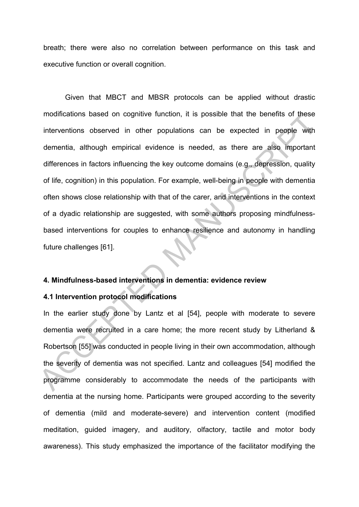breath; there were also no correlation between performance on this task and executive function or overall cognition.

 Given that MBCT and MBSR protocols can be applied without drastic modifications based on cognitive function, it is possible that the benefits of these interventions observed in other populations can be expected in people with dementia, although empirical evidence is needed, as there are also important differences in factors influencing the key outcome domains (e.g., depression, quality of life, cognition) in this population. For example, well-being in people with dementia often shows close relationship with that of the carer, and interventions in the context of a dyadic relationship are suggested, with some authors proposing mindfulnessbased interventions for couples to enhance resilience and autonomy in handling future challenges [61]. modifications based on cognitive function, it is possible that the benefits of these<br>interventions observed in other populations can be expected in people with<br>dementia, although empirical evidence is needed, as there are

### **4. Mindfulness-based interventions in dementia: evidence review**

## **4.1 Intervention protocol modifications**

In the earlier study done by Lantz et al [54], people with moderate to severe dementia were recruited in a care home; the more recent study by Litherland & Robertson [55] was conducted in people living in their own accommodation, although the severity of dementia was not specified. Lantz and colleagues [54] modified the programme considerably to accommodate the needs of the participants with dementia at the nursing home. Participants were grouped according to the severity of dementia (mild and moderate-severe) and intervention content (modified meditation, guided imagery, and auditory, olfactory, tactile and motor body awareness). This study emphasized the importance of the facilitator modifying the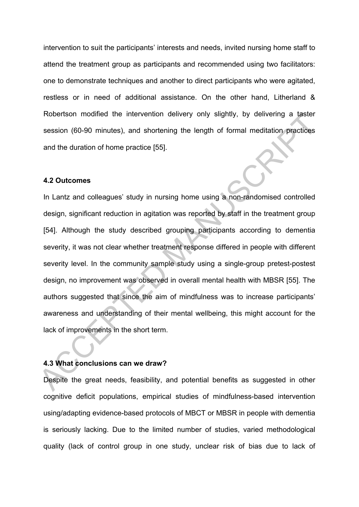intervention to suit the participants' interests and needs, invited nursing home staff to attend the treatment group as participants and recommended using two facilitators: one to demonstrate techniques and another to direct participants who were agitated, restless or in need of additional assistance. On the other hand, Litherland & Robertson modified the intervention delivery only slightly, by delivering a taster session (60-90 minutes), and shortening the length of formal meditation practices and the duration of home practice [55].

## **4.2 Outcomes**

In Lantz and colleagues' study in nursing home using a non-randomised controlled design, significant reduction in agitation was reported by staff in the treatment group [54]. Although the study described grouping participants according to dementia severity, it was not clear whether treatment response differed in people with different severity level. In the community sample study using a single-group pretest-postest design, no improvement was observed in overall mental health with MBSR [55]. The authors suggested that since the aim of mindfulness was to increase participants' awareness and understanding of their mental wellbeing, this might account for the lack of improvements in the short term. Robertson modified the intervention delivery only slightly, by delivering a taster<br>session (60-90 minutes), and shortening the length of formal meditation practices<br>and the duration of home practice [55].<br>4.2 Outcomes<br>In L

#### **4.3 What conclusions can we draw?**

Despite the great needs, feasibility, and potential benefits as suggested in other cognitive deficit populations, empirical studies of mindfulness-based intervention using/adapting evidence-based protocols of MBCT or MBSR in people with dementia is seriously lacking. Due to the limited number of studies, varied methodological quality (lack of control group in one study, unclear risk of bias due to lack of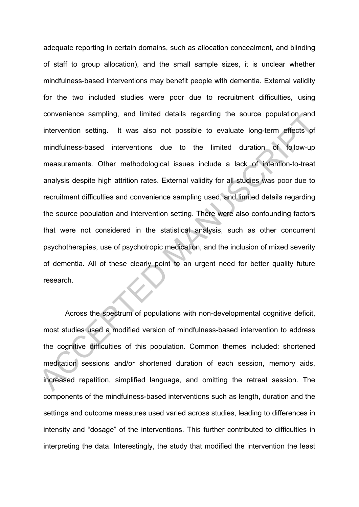adequate reporting in certain domains, such as allocation concealment, and blinding of staff to group allocation), and the small sample sizes, it is unclear whether mindfulness-based interventions may benefit people with dementia. External validity for the two included studies were poor due to recruitment difficulties, using convenience sampling, and limited details regarding the source population and intervention setting. It was also not possible to evaluate long-term effects of mindfulness-based interventions due to the limited duration of follow-up measurements. Other methodological issues include a lack of intention-to-treat analysis despite high attrition rates. External validity for all studies was poor due to recruitment difficulties and convenience sampling used, and limited details regarding the source population and intervention setting. There were also confounding factors that were not considered in the statistical analysis, such as other concurrent psychotherapies, use of psychotropic medication, and the inclusion of mixed severity of dementia. All of these clearly point to an urgent need for better quality future research. convenience sampling, and limited details regarding the source population and<br>intervention setting. It was also not possible to evaluate long-term effects of<br>mindfulness-based interventions due to the limited duration of f

Across the spectrum of populations with non-developmental cognitive deficit, most studies used a modified version of mindfulness-based intervention to address the cognitive difficulties of this population. Common themes included: shortened meditation sessions and/or shortened duration of each session, memory aids, increased repetition, simplified language, and omitting the retreat session. The components of the mindfulness-based interventions such as length, duration and the settings and outcome measures used varied across studies, leading to differences in intensity and "dosage" of the interventions. This further contributed to difficulties in interpreting the data. Interestingly, the study that modified the intervention the least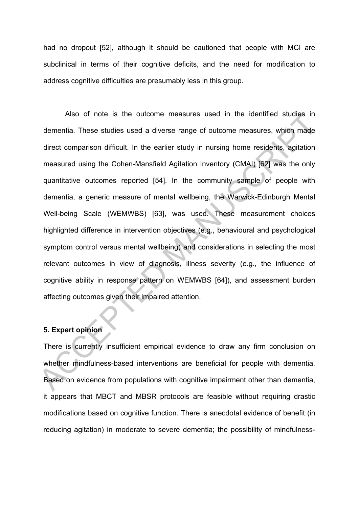had no dropout [52], although it should be cautioned that people with MCI are subclinical in terms of their cognitive deficits, and the need for modification to address cognitive difficulties are presumably less in this group.

Also of note is the outcome measures used in the identified studies in dementia. These studies used a diverse range of outcome measures, which made direct comparison difficult. In the earlier study in nursing home residents, agitation measured using the Cohen-Mansfield Agitation Inventory (CMAI) [62] was the only quantitative outcomes reported [54]. In the community sample of people with dementia, a generic measure of mental wellbeing, the Warwick-Edinburgh Mental Well-being Scale (WEMWBS) [63], was used. These measurement choices highlighted difference in intervention objectives (e.g., behavioural and psychological symptom control versus mental wellbeing) and considerations in selecting the most relevant outcomes in view of diagnosis, illness severity (e.g., the influence of cognitive ability in response pattern on WEMWBS [64]), and assessment burden affecting outcomes given their impaired attention. Also of note is the outcome measures used in the identified studies in<br>dementia. These studies used a diverse range of outcome measures, which made<br>direct comparison difficult. In the earlier study in nursing home resident

## **5. Expert opinion**

There is currently insufficient empirical evidence to draw any firm conclusion on whether mindfulness-based interventions are beneficial for people with dementia. Based on evidence from populations with cognitive impairment other than dementia, it appears that MBCT and MBSR protocols are feasible without requiring drastic modifications based on cognitive function. There is anecdotal evidence of benefit (in reducing agitation) in moderate to severe dementia; the possibility of mindfulness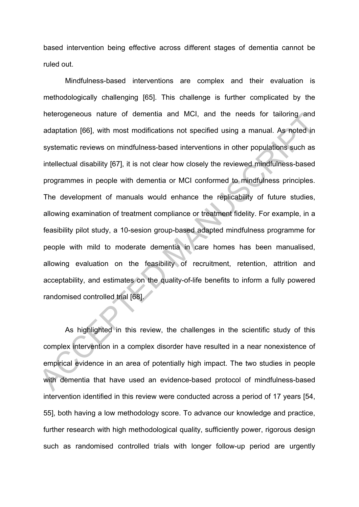based intervention being effective across different stages of dementia cannot be ruled out.

Mindfulness-based interventions are complex and their evaluation is methodologically challenging [65]. This challenge is further complicated by the heterogeneous nature of dementia and MCI, and the needs for tailoring and adaptation [66], with most modifications not specified using a manual. As noted in systematic reviews on mindfulness-based interventions in other populations such as intellectual disability [67], it is not clear how closely the reviewed mindfulness-based programmes in people with dementia or MCI conformed to mindfulness principles. The development of manuals would enhance the replicability of future studies, allowing examination of treatment compliance or treatment fidelity. For example, in a feasibility pilot study, a 10-sesion group-based adapted mindfulness programme for people with mild to moderate dementia in care homes has been manualised, allowing evaluation on the feasibility of recruitment, retention, attrition and acceptability, and estimates on the quality-of-life benefits to inform a fully powered randomised controlled trial [68]. neterogeneous nature of dementia and MCI, and the needs for tailonng and<br>adaptation [66], with most modifications not specified using a manual. As noted in<br>systematic reviews on mindfulness-based interventions in other pop

 As highlighted in this review, the challenges in the scientific study of this complex intervention in a complex disorder have resulted in a near nonexistence of empirical evidence in an area of potentially high impact. The two studies in people with dementia that have used an evidence-based protocol of mindfulness-based intervention identified in this review were conducted across a period of 17 years [54, 55], both having a low methodology score. To advance our knowledge and practice, further research with high methodological quality, sufficiently power, rigorous design such as randomised controlled trials with longer follow-up period are urgently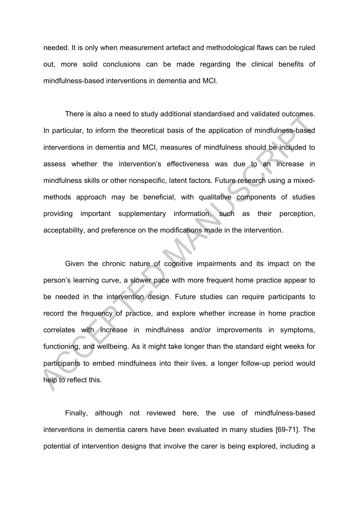needed. It is only when measurement artefact and methodological flaws can be ruled out, more solid conclusions can be made regarding the clinical benefits of mindfulness-based interventions in dementia and MCI.

There is also a need to study additional standardised and validated outcomes. In particular, to inform the theoretical basis of the application of mindfulness-based interventions in dementia and MCI, measures of mindfulness should be included to assess whether the intervention's effectiveness was due to an increase in mindfulness skills or other nonspecific, latent factors. Future research using a mixedmethods approach may be beneficial, with qualitative components of studies providing important supplementary information, such as their perception, acceptability, and preference on the modifications made in the intervention.

Given the chronic nature of cognitive impairments and its impact on the person's learning curve, a slower pace with more frequent home practice appear to be needed in the intervention design. Future studies can require participants to record the frequency of practice, and explore whether increase in home practice correlates with increase in mindfulness and/or improvements in symptoms, functioning, and wellbeing. As it might take longer than the standard eight weeks for participants to embed mindfulness into their lives, a longer follow-up period would help to reflect this. There is also a need to study additional standardised and validated outcomes.<br>
In particular, to inform the theoretical basis of the application of mindfulness-based<br>
interventions in dementia and MCI, measures of mindfuln

Finally, although not reviewed here, the use of mindfulness-based interventions in dementia carers have been evaluated in many studies [69-71]. The potential of intervention designs that involve the carer is being explored, including a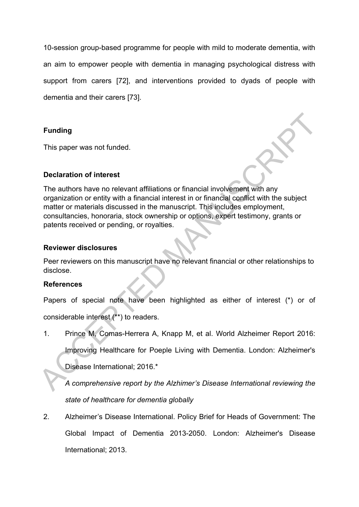10-session group-based programme for people with mild to moderate dementia, with an aim to empower people with dementia in managing psychological distress with support from carers [72], and interventions provided to dyads of people with dementia and their carers [73].

# **Funding**

This paper was not funded.

# **Declaration of interest**

The authors have no relevant affiliations or financial involvement with any organization or entity with a financial interest in or financial conflict with the subject matter or materials discussed in the manuscript. This includes employment, consultancies, honoraria, stock ownership or options, expert testimony, grants or patents received or pending, or royalties. Funding<br>
This paper was not funded.<br>
Declaration of interest<br>
The authors have no relevant affiliations or financial involvement with any<br>
organization or entity with a financial interest in or financial conflict with the

## **Reviewer disclosures**

Peer reviewers on this manuscript have no relevant financial or other relationships to disclose.

# **References**

Papers of special note have been highlighted as either of interest (\*) or of

considerable interest (\*\*) to readers.

1. Prince M, Comas-Herrera A, Knapp M, et al. World Alzheimer Report 2016:

Improving Healthcare for Poeple Living with Dementia. London: Alzheimer's Disease International; 2016.\*

*A comprehensive report by the Alzhimer's Disease International reviewing the state of healthcare for dementia globally* 

2. Alzheimer's Disease International. Policy Brief for Heads of Government: The Global Impact of Dementia 2013-2050. London: Alzheimer's Disease International; 2013.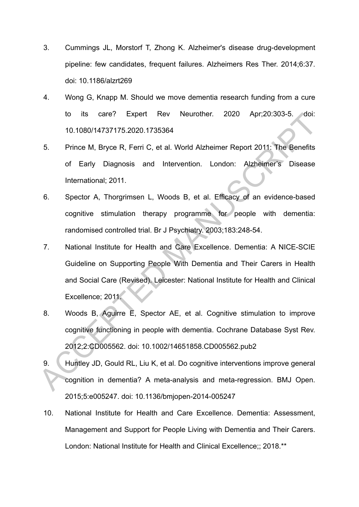- 3. Cummings JL, Morstorf T, Zhong K. Alzheimer's disease drug-development pipeline: few candidates, frequent failures. Alzheimers Res Ther. 2014;6:37. doi: 10.1186/alzrt269
- 4. Wong G, Knapp M. Should we move dementia research funding from a cure to its care? Expert Rev Neurother. 2020 Apr;20:303-5. doi: 10.1080/14737175.2020.1735364
- 5. Prince M, Bryce R, Ferri C, et al. World Alzheimer Report 2011: The Benefits of Early Diagnosis and Intervention. London: Alzheimer's Disease International; 2011.
- 6. Spector A, Thorgrimsen L, Woods B, et al. Efficacy of an evidence-based cognitive stimulation therapy programme for people with dementia: randomised controlled trial. Br J Psychiatry. 2003;183:248-54.
- 7. National Institute for Health and Care Excellence. Dementia: A NICE-SCIE Guideline on Supporting People With Dementia and Their Carers in Health and Social Care (Revised). Leicester: National Institute for Health and Clinical Excellence; 2011. to its care? Expert Rev Neurother. 2020 Apr;20:303-5. doi:<br>
10.1080/14737175.2020.1735364<br>
Frince M, Bryce R, Ferri C, et al. World Alzheimer Report 2011: The Benefits<br>
of Early Diagnosis and Intervention. London: Alzheime
	- 8. Woods B, Aguirre E, Spector AE, et al. Cognitive stimulation to improve cognitive functioning in people with dementia. Cochrane Database Syst Rev. 2012;2:CD005562. doi: 10.1002/14651858.CD005562.pub2
	- 9. Huntley JD, Gould RL, Liu K, et al. Do cognitive interventions improve general cognition in dementia? A meta-analysis and meta-regression. BMJ Open. 2015;5:e005247. doi: 10.1136/bmjopen-2014-005247
	- 10. National Institute for Health and Care Excellence. Dementia: Assessment, Management and Support for People Living with Dementia and Their Carers. London: National Institute for Health and Clinical Excellence;; 2018.\*\*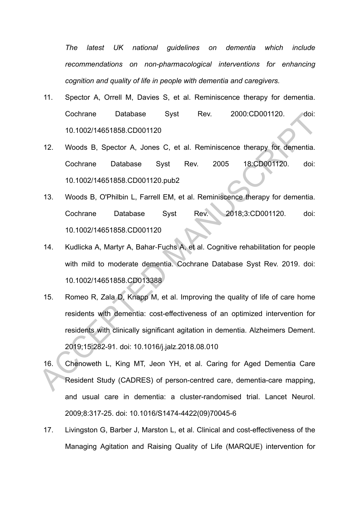*The latest UK national guidelines on dementia which include recommendations on non-pharmacological interventions for enhancing cognition and quality of life in people with dementia and caregivers.* 

- 11. Spector A, Orrell M, Davies S, et al. Reminiscence therapy for dementia. Cochrane Database Syst Rev. 2000:CD001120. doi: 10.1002/14651858.CD001120
- 12. Woods B, Spector A, Jones C, et al. Reminiscence therapy for dementia. Cochrane Database Syst Rev. 2005 18:CD001120. doi: 10.1002/14651858.CD001120.pub2
- 13. Woods B, O'Philbin L, Farrell EM, et al. Reminiscence therapy for dementia. Cochrane Database Syst Rev. 2018;3:CD001120. doi: 10.1002/14651858.CD001120
- 14. Kudlicka A, Martyr A, Bahar‐Fuchs A, et al. Cognitive rehabilitation for people with mild to moderate dementia. Cochrane Database Syst Rev. 2019. doi: 10.1002/14651858.CD013388
- 15. Romeo R, Zala D, Knapp M, et al. Improving the quality of life of care home residents with dementia: cost-effectiveness of an optimized intervention for residents with clinically significant agitation in dementia. Alzheimers Dement. 2019;15:282-91. doi: 10.1016/j.jalz.2018.08.010 Cochrane Database Syst Rev. 2000:CD001120. doi:<br>
10.1002/14651858.CD001120<br>
12. Woods B. Spector A. Jones C, et al. Reminiscence therapy for dementia.<br>
Cochrane Database Syst Rev. 2005 18:CD001120. doi:<br>
10.1002/14651858.C
	- 16. Chenoweth L, King MT, Jeon YH, et al. Caring for Aged Dementia Care Resident Study (CADRES) of person-centred care, dementia-care mapping, and usual care in dementia: a cluster-randomised trial. Lancet Neurol. 2009;8:317-25. doi: 10.1016/S1474-4422(09)70045-6
	- 17. Livingston G, Barber J, Marston L, et al. Clinical and cost-effectiveness of the Managing Agitation and Raising Quality of Life (MARQUE) intervention for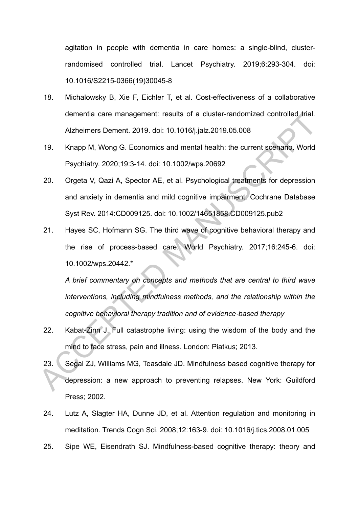agitation in people with dementia in care homes: a single-blind, clusterrandomised controlled trial. Lancet Psychiatry. 2019;6:293-304. doi: 10.1016/S2215-0366(19)30045-8

- 18. Michalowsky B, Xie F, Eichler T, et al. Cost-effectiveness of a collaborative dementia care management: results of a cluster-randomized controlled trial. Alzheimers Dement. 2019. doi: 10.1016/j.jalz.2019.05.008
- 19. Knapp M, Wong G. Economics and mental health: the current scenario. World Psychiatry. 2020;19:3-14. doi: 10.1002/wps.20692
- 20. Orgeta V, Qazi A, Spector AE, et al. Psychological treatments for depression and anxiety in dementia and mild cognitive impairment. Cochrane Database Syst Rev. 2014:CD009125. doi: 10.1002/14651858.CD009125.pub2
- 21. Hayes SC, Hofmann SG. The third wave of cognitive behavioral therapy and the rise of process-based care. World Psychiatry. 2017;16:245-6. doi: 10.1002/wps.20442.\* dementia care management: results of a cluster-randomized controlled trial.<br>Alzheimers Dement. 2019. doi: 10.1016/j.jalz.2019.05.008<br>19. Knapp M, Wong G. Economics and mental health: the current scenario, World<br>Psychiatry.

*A brief commentary on concepts and methods that are central to third wave interventions, including mindfulness methods, and the relationship within the cognitive behavioral therapy tradition and of evidence*‐*based therapy* 

- 22. Kabat-Zinn J. Full catastrophe living: using the wisdom of the body and the mind to face stress, pain and illness. London: Piatkus; 2013.
- 23. Segal ZJ, Williams MG, Teasdale JD. Mindfulness based cognitive therapy for depression: a new approach to preventing relapses. New York: Guildford Press; 2002.
- 24. Lutz A, Slagter HA, Dunne JD, et al. Attention regulation and monitoring in meditation. Trends Cogn Sci. 2008;12:163-9. doi: 10.1016/j.tics.2008.01.005
- 25. Sipe WE, Eisendrath SJ. Mindfulness-based cognitive therapy: theory and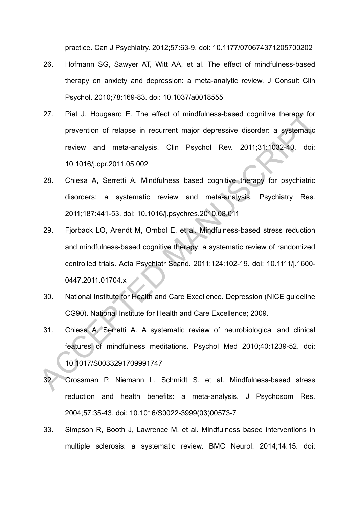practice. Can J Psychiatry. 2012;57:63-9. doi: 10.1177/070674371205700202

- 26. Hofmann SG, Sawyer AT, Witt AA, et al. The effect of mindfulness-based therapy on anxiety and depression: a meta-analytic review. J Consult Clin Psychol. 2010;78:169-83. doi: 10.1037/a0018555
- 27. Piet J, Hougaard E. The effect of mindfulness-based cognitive therapy for prevention of relapse in recurrent major depressive disorder: a systematic review and meta-analysis. Clin Psychol Rev. 2011;31:1032-40. doi: 10.1016/j.cpr.2011.05.002
- 28. Chiesa A, Serretti A. Mindfulness based cognitive therapy for psychiatric disorders: a systematic review and meta-analysis. Psychiatry Res. 2011;187:441-53. doi: 10.1016/j.psychres.2010.08.011
- 29. Fjorback LO, Arendt M, Ornbol E, et al. Mindfulness-based stress reduction and mindfulness-based cognitive therapy: a systematic review of randomized controlled trials. Acta Psychiatr Scand. 2011;124:102-19. doi: 10.1111/j.1600- 0447.2011.01704.x 27. Pret J, Hougaard E. The effect of mindfulness-based cognitive therapy for<br>prevention of relapse in recurrent major depressive disorder: a systematic<br>review and meta-analysis. Clin Psychol Rev. 2011;31:1082-40. doi:<br>10.
	- 30. National Institute for Health and Care Excellence. Depression (NICE guideline CG90). National Institute for Health and Care Excellence; 2009.
	- 31. Chiesa A, Serretti A. A systematic review of neurobiological and clinical features of mindfulness meditations. Psychol Med 2010;40:1239-52. doi: 10.1017/S0033291709991747
	- 32. Grossman P, Niemann L, Schmidt S, et al. Mindfulness-based stress reduction and health benefits: a meta-analysis. J Psychosom Res. 2004;57:35-43. doi: 10.1016/S0022-3999(03)00573-7
	- 33. Simpson R, Booth J, Lawrence M, et al. Mindfulness based interventions in multiple sclerosis: a systematic review. BMC Neurol. 2014;14:15. doi: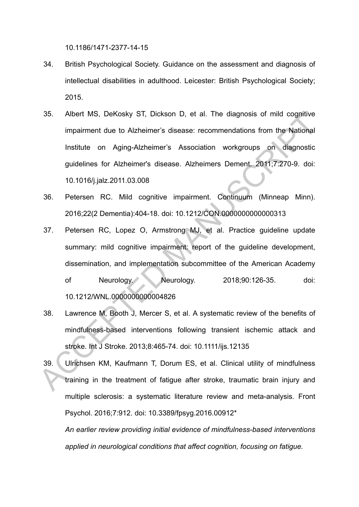10.1186/1471-2377-14-15

- 34. British Psychological Society. Guidance on the assessment and diagnosis of intellectual disabilities in adulthood. Leicester: British Psychological Society; 2015.
- 35. Albert MS, DeKosky ST, Dickson D, et al. The diagnosis of mild cognitive impairment due to Alzheimer's disease: recommendations from the National Institute on Aging-Alzheimer's Association workgroups on diagnostic guidelines for Alzheimer's disease. Alzheimers Dement. 2011;7:270-9. doi: 10.1016/j.jalz.2011.03.008
- 36. Petersen RC. Mild cognitive impairment. Continuum (Minneap Minn). 2016;22(2 Dementia):404-18. doi: 10.1212/CON.0000000000000313
- 37. Petersen RC, Lopez O, Armstrong MJ, et al. Practice guideline update summary: mild cognitive impairment: report of the guideline development, dissemination, and implementation subcommittee of the American Academy of Neurology. Neurology. 2018;90:126-35. doi: 10.1212/WNL.0000000000004826 36. Albert MS, DeKosky S1, Dickson D, et al. The diagnosis of mild cognitive<br>
impairment due to Alzheimer's disease: recommendations from the National<br>
Institute on Aging-Alzheimer's Association workgroups on diagnostic<br>
g
	- 38. Lawrence M, Booth J, Mercer S, et al. A systematic review of the benefits of mindfulness-based interventions following transient ischemic attack and stroke. Int J Stroke. 2013;8:465-74. doi: 10.1111/ijs.12135
	- 39. Ulrichsen KM, Kaufmann T, Dorum ES, et al. Clinical utility of mindfulness training in the treatment of fatigue after stroke, traumatic brain injury and multiple sclerosis: a systematic literature review and meta-analysis. Front Psychol. 2016;7:912. doi: 10.3389/fpsyg.2016.00912\*

*An earlier review providing initial evidence of mindfulness-based interventions applied in neurological conditions that affect cognition, focusing on fatigue.*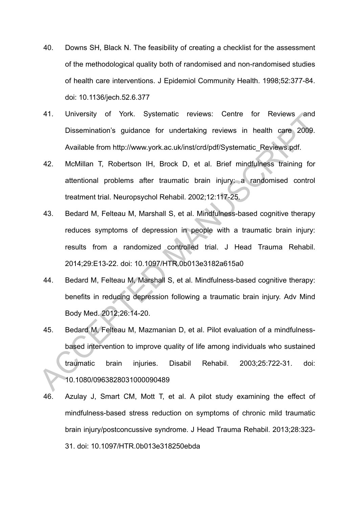- 40. Downs SH, Black N. The feasibility of creating a checklist for the assessment of the methodological quality both of randomised and non-randomised studies of health care interventions. J Epidemiol Community Health. 1998;52:377-84. doi: 10.1136/jech.52.6.377
- 41. University of York. Systematic reviews: Centre for Reviews and Dissemination's guidance for undertaking reviews in health care 2009. Available from http://www.york.ac.uk/inst/crd/pdf/Systematic\_Reviews.pdf.
- 42. McMillan T, Robertson IH, Brock D, et al. Brief mindfulness training for attentional problems after traumatic brain injury: a randomised control treatment trial. Neuropsychol Rehabil. 2002;12:117-25.
- 43. Bedard M, Felteau M, Marshall S, et al. Mindfulness-based cognitive therapy reduces symptoms of depression in people with a traumatic brain injury: results from a randomized controlled trial. J Head Trauma Rehabil. 2014;29:E13-22. doi: 10.1097/HTR.0b013e3182a615a0 41. University of York. Systematic reviews: Centre for Reviews and<br>
Dissemination's guidance for undertaking reviews in health care 2009.<br>
Available from http://www.york.ac.uk/inst/crd/pdf/Systematic\_Reviews.pdf.<br>
42. McMi
	- 44. Bedard M, Felteau M, Marshall S, et al. Mindfulness-based cognitive therapy: benefits in reducing depression following a traumatic brain injury. Adv Mind Body Med. 2012;26:14-20.
	- 45. Bedard M, Felteau M, Mazmanian D, et al. Pilot evaluation of a mindfulnessbased intervention to improve quality of life among individuals who sustained traumatic brain injuries. Disabil Rehabil. 2003;25:722-31. doi: 10.1080/0963828031000090489
	- 46. Azulay J, Smart CM, Mott T, et al. A pilot study examining the effect of mindfulness-based stress reduction on symptoms of chronic mild traumatic brain injury/postconcussive syndrome. J Head Trauma Rehabil. 2013;28:323- 31. doi: 10.1097/HTR.0b013e318250ebda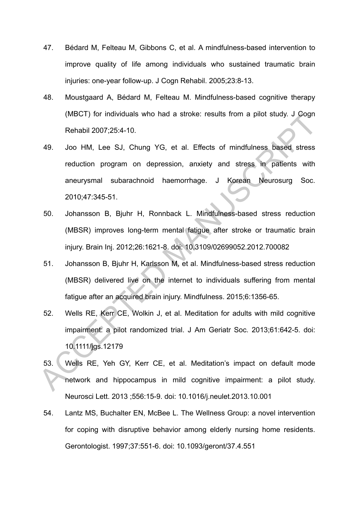- 47. Bédard M, Felteau M, Gibbons C, et al. A mindfulness-based intervention to improve quality of life among individuals who sustained traumatic brain injuries: one-year follow-up. J Cogn Rehabil. 2005;23:8-13.
- 48. Moustgaard A, Bédard M, Felteau M. Mindfulness-based cognitive therapy (MBCT) for individuals who had a stroke: results from a pilot study. J Cogn Rehabil 2007;25:4-10.
- 49. Joo HM, Lee SJ, Chung YG, et al. Effects of mindfulness based stress reduction program on depression, anxiety and stress in patients with aneurysmal subarachnoid haemorrhage. J Korean Neurosurg Soc. 2010;47:345-51. (MBCT) for individuals who had a stroke: results from a pilot study. J Gogin<br>
Rehabil 2007;25:4-10.<br>
49. Joo HM, Lee SJ, Chung YG, et al. Effects of mindfulness based stress<br>
reduction program on depression, anxiety and st
	- 50. Johansson B, Bjuhr H, Ronnback L. Mindfulness-based stress reduction (MBSR) improves long-term mental fatigue after stroke or traumatic brain injury. Brain Inj. 2012;26:1621-8. doi: 10.3109/02699052.2012.700082
	- 51. Johansson B, Bjuhr H, Karlsson M, et al. Mindfulness-based stress reduction (MBSR) delivered live on the internet to individuals suffering from mental fatigue after an acquired brain injury. Mindfulness. 2015;6:1356-65.
	- 52. Wells RE, Kerr CE, Wolkin J, et al. Meditation for adults with mild cognitive impairment: a pilot randomized trial. J Am Geriatr Soc. 2013;61:642-5. doi: 10.1111/jgs.12179
	- 53. Wells RE, Yeh GY, Kerr CE, et al. Meditation's impact on default mode network and hippocampus in mild cognitive impairment: a pilot study. Neurosci Lett. 2013 ;556:15-9. doi: 10.1016/j.neulet.2013.10.001
	- 54. Lantz MS, Buchalter EN, McBee L. The Wellness Group: a novel intervention for coping with disruptive behavior among elderly nursing home residents. Gerontologist. 1997;37:551-6. doi: 10.1093/geront/37.4.551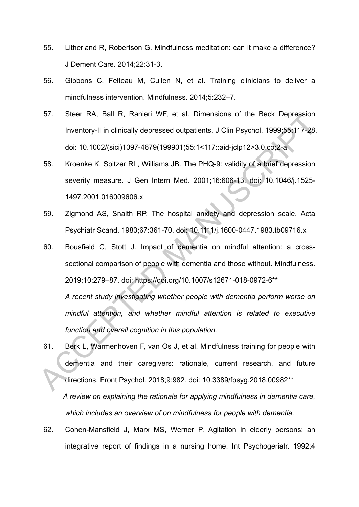- 55. Litherland R, Robertson G. Mindfulness meditation: can it make a difference? J Dement Care. 2014;22:31-3.
- 56. Gibbons C, Felteau M, Cullen N, et al. Training clinicians to deliver a mindfulness intervention. Mindfulness. 2014;5:232–7.
- 57. Steer RA, Ball R, Ranieri WF, et al. Dimensions of the Beck Depression Inventory-II in clinically depressed outpatients. J Clin Psychol. 1999;55:117-28. doi: 10.1002/(sici)1097-4679(199901)55:1<117::aid-jclp12>3.0.co;2-a
- 58. Kroenke K, Spitzer RL, Williams JB. The PHQ-9: validity of a brief depression severity measure. J Gen Intern Med. 2001;16:606-13. doi: 10.1046/j.1525- 1497.2001.016009606.x
- 59. Zigmond AS, Snaith RP. The hospital anxiety and depression scale. Acta Psychiatr Scand. 1983;67:361-70. doi: 10.1111/j.1600-0447.1983.tb09716.x
- 60. Bousfield C, Stott J. Impact of dementia on mindful attention: a crosssectional comparison of people with dementia and those without. Mindfulness. 2019;10:279–87. doi: https://doi.org/10.1007/s12671-018-0972-6\*\* *A recent study investigating whether people with dementia perform worse on mindful attention, and whether mindful attention is related to executive function and overall cognition in this population.*  Solid IV., Ramen WF, et al. Dimensions of the Beck Depression<br>Inventory-II in clinically depressed outpatients. J Clin Psychol. 1999;55:117-28.<br>doi: 10.1002/(sici)1097-4679(199901)55:1<117::aid-jclp12>3.0,co:2-a<br>58. Kroenk
	- 61. Berk L, Warmenhoven F, van Os J, et al. Mindfulness training for people with dementia and their caregivers: rationale, current research, and future directions. Front Psychol. 2018;9:982. doi: 10.3389/fpsyg.2018.00982\*\* *A review on explaining the rationale for applying mindfulness in dementia care, which includes an overview of on mindfulness for people with dementia.*
	- 62. Cohen-Mansfield J, Marx MS, Werner P. Agitation in elderly persons: an integrative report of findings in a nursing home. Int Psychogeriatr. 1992;4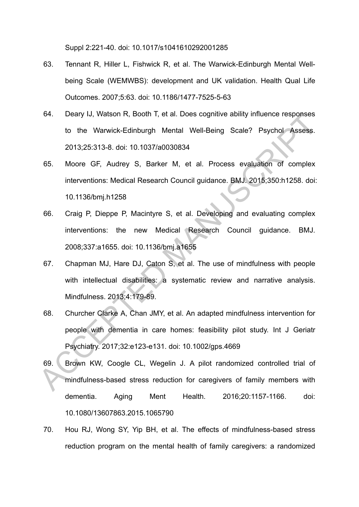Suppl 2:221-40. doi: 10.1017/s1041610292001285

- 63. Tennant R, Hiller L, Fishwick R, et al. The Warwick-Edinburgh Mental Wellbeing Scale (WEMWBS): development and UK validation. Health Qual Life Outcomes. 2007;5:63. doi: 10.1186/1477-7525-5-63
- 64. Deary IJ, Watson R, Booth T, et al. Does cognitive ability influence responses to the Warwick-Edinburgh Mental Well-Being Scale? Psychol Assess. 2013;25:313-8. doi: 10.1037/a0030834
- 65. Moore GF, Audrey S, Barker M, et al. Process evaluation of complex interventions: Medical Research Council guidance. BMJ. 2015;350:h1258. doi: 10.1136/bmj.h1258
- 66. Craig P, Dieppe P, Macintyre S, et al. Developing and evaluating complex interventions: the new Medical Research Council guidance. BMJ. 2008;337:a1655. doi: 10.1136/bmj.a1655
- 67. Chapman MJ, Hare DJ, Caton S, et al. The use of mindfulness with people with intellectual disabilities: a systematic review and narrative analysis. Mindfulness. 2013;4:179-89.
- 68. Churcher Clarke A, Chan JMY, et al. An adapted mindfulness intervention for people with dementia in care homes: feasibility pilot study. Int J Geriatr Psychiatry. 2017;32:e123-e131. doi: 10.1002/gps.4669 beary IJ, Watson K, Booth I, et al. Does cognitive ability influence responses<br>to the Warwick-Edinburgh Mental Well-Being Scale? Psychol Assess.<br>2013;25:313-8. doi: 10.1037/a0030834<br>65. Moore GF, Audrey S, Barker M, et al.
	- 69. Brown KW, Coogle CL, Wegelin J. A pilot randomized controlled trial of mindfulness-based stress reduction for caregivers of family members with dementia. Aging Ment Health. 2016;20:1157-1166. doi: 10.1080/13607863.2015.1065790
	- 70. Hou RJ, Wong SY, Yip BH, et al. The effects of mindfulness-based stress reduction program on the mental health of family caregivers: a randomized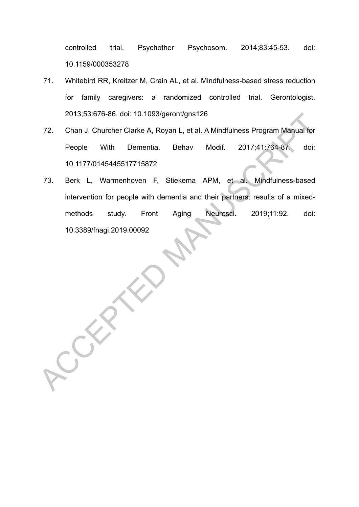controlled trial. Psychother Psychosom. 2014;83:45-53. doi: 10.1159/000353278

- 71. Whitebird RR, Kreitzer M, Crain AL, et al. Mindfulness-based stress reduction for family caregivers: a randomized controlled trial. Gerontologist. 2013;53:676-86. doi: 10.1093/geront/gns126
- 72. Chan J, Churcher Clarke A, Royan L, et al. A Mindfulness Program Manual for People With Dementia. Behav Modif. 2017;41:764-87. doi: 10.1177/0145445517715872
- 73. Berk L, Warmenhoven F, Stiekema APM, et al. Mindfulness-based intervention for people with dementia and their partners: results of a mixedmethods study. Front Aging Neurosci. 2019;11:92. doi: 10.3389/fnagi.2019.00092 2013;53:876-86. doi: 10.1093/geront/gns125<br>
72. Chan J. Churcher Clarke A. Royan L. et al. A Mindfulness Program Manual for<br>
People With Dementia. Behav Modif. 2017:41:764-87. doi:<br>
10.1177/0145445517715872<br>
73. Berk L. Wa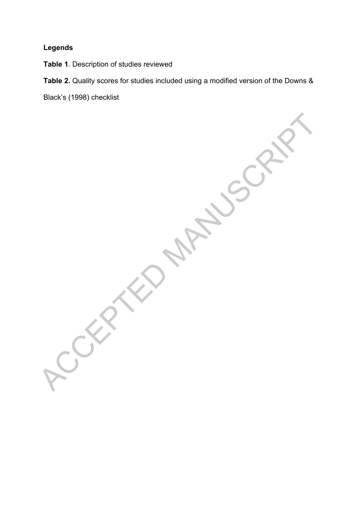# **Legends**

**Table 1**. Description of studies reviewed

**Table 2.** Quality scores for studies included using a modified version of the Downs &

Black's (1998) checklist

ACCEPTED MANUSCRIPT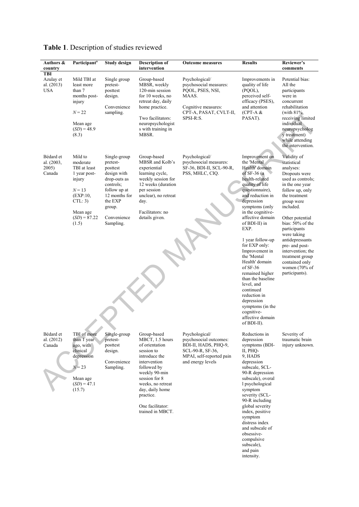| Authors &<br>country                         | Participant <sup>a</sup>                                                                                                                | <b>Study design</b>                                                                                                                                                | <b>Description of</b><br>intervention                                                                                                                                                                                                         | <b>Outcome measures</b>                                                                                                               | <b>Results</b>                                                                                                                                                                                                                                                                                                                                                                                                                                                                                                              | Reviewer's<br>comments                                                                                                                                                                                                                                                                                                                                                  |
|----------------------------------------------|-----------------------------------------------------------------------------------------------------------------------------------------|--------------------------------------------------------------------------------------------------------------------------------------------------------------------|-----------------------------------------------------------------------------------------------------------------------------------------------------------------------------------------------------------------------------------------------|---------------------------------------------------------------------------------------------------------------------------------------|-----------------------------------------------------------------------------------------------------------------------------------------------------------------------------------------------------------------------------------------------------------------------------------------------------------------------------------------------------------------------------------------------------------------------------------------------------------------------------------------------------------------------------|-------------------------------------------------------------------------------------------------------------------------------------------------------------------------------------------------------------------------------------------------------------------------------------------------------------------------------------------------------------------------|
| TBI<br>Azulay et<br>al. (2013)<br><b>USA</b> | Mild TBI at<br>least more<br>than 7<br>months post-<br>injury<br>$N = 22$<br>Mean age<br>$(SD) = 48.9$<br>(8.3)                         | Single group<br>pretest-<br>posttest<br>design.<br>Convenience<br>sampling.                                                                                        | Group-based<br>MBSR, weekly<br>120-min session<br>for 10 weeks, no<br>retreat day, daily<br>home practice.<br>Two facilitators:<br>neuropsychologist<br>s with training in<br>MBSR.                                                           | Psychological/<br>psychosocial measures:<br>PQOL, PSES, NSI,<br>MAAS.<br>Cognitive measures:<br>CPT-A, PASAT, CVLT-II,<br>SPSI-R:S.   | Improvements in<br>quality of life<br>(PQOL),<br>perceived self-<br>efficacy (PSES),<br>and attention<br>$(CPT-A &$<br>PASAT).                                                                                                                                                                                                                                                                                                                                                                                              | Potential bias:<br>All the<br>participants<br>were in<br>concurrent<br>rehabilitation<br>(with $81\%$ )<br>receiving limited<br>individual<br>neuropsycholog<br>y treatment)<br>while attending<br>the intervention.                                                                                                                                                    |
| Bédard et<br>al. (2003,<br>2005)<br>Canada   | Mild to<br>moderate<br>TBI at least<br>1 year post-<br>injury<br>$N = 13$<br>(EXP:10.<br>CTL: 3)<br>Mean age<br>$(SD) = 87.22$<br>(1.5) | Single-group<br>pretest-<br>posttest<br>design with<br>drop-outs as<br>controls;<br>follow up at<br>12 months for<br>the EXP<br>group.<br>Convenience<br>Sampling. | Group-based<br>MBSR and Kolb's<br>experiential<br>learning cycle,<br>weekly session for<br>12 weeks (duration<br>per session<br>unclear), no retreat<br>day.<br>Facilitators: no<br>details given.                                            | Psychological/<br>psychosocial measures:<br>SF-36, BDI-II, SCL-90-R,<br>PSS, MHLC, CIQ.                                               | Improvement on<br>the 'Mental<br>Health' domain<br>of $SF-36$ (a)<br>health-related<br>quality of life<br>questionnaire),<br>and reduction in<br>depression<br>symptoms (only<br>in the cognitive-<br>affective domain<br>of BDI-II) in<br>EXP.<br>1 year follow-up<br>for EXP only:<br>Improvement in<br>the 'Mental<br>Health' domain<br>of $SF-36$<br>remained higher<br>than the baseline<br>level, and<br>continued<br>reduction in<br>depression<br>symptoms (in the<br>cognitive-<br>affective domain<br>of BDI-II). | Validity of<br>statistical<br>analyses:<br>Dropouts were<br>used as controls;<br>in the one year<br>follow up, only<br>the treatment<br>group were<br>included.<br>Other potential<br>bias: 50% of the<br>participants<br>were taking<br>antidepressants<br>pre- and post-<br>intervention; the<br>treatment group<br>contained only<br>women (70% of<br>participants). |
| Bédard et<br>al. $(2012)$<br>Canada          | TBI of more<br>than 1 year<br>ago, with<br>clinical<br>depression<br>$N = 23$<br>Mean age<br>$(SD) = 47.1$<br>(15.7)                    | Single-group<br>pretest-<br>posttest<br>design.<br>Convenience<br>Sampling.                                                                                        | Group-based<br>MBCT, 1.5 hours<br>of orientation<br>session to<br>introduce the<br>intervention<br>followed by<br>weekly 90-min<br>session for 8<br>weeks, no retreat<br>day, daily home<br>practice.<br>One facilitator:<br>trained in MBCT. | Psychological/<br>psychosocial outcomes:<br>BDI-II, HADS, PHO-9,<br>SCL-90-R, SF-36,<br>MPAI, self-reported pain<br>and energy levels | Reductions in<br>depression<br>symptoms (BDI-<br>II, PHQ-<br>9, HADS<br>depression<br>subscale, SCL-<br>90-R depression<br>subscale), overal<br>l psychological<br>symptom<br>severity (SCL-<br>90-R including<br>global severity<br>index, positive<br>symptom<br>distress index<br>and subscale of<br>obsessive-<br>compulsive<br>subscale),<br>and pain                                                                                                                                                                  | Severity of<br>traumatic brain<br>injury unknown.                                                                                                                                                                                                                                                                                                                       |

intensity.

# **Table 1**. Description of studies reviewed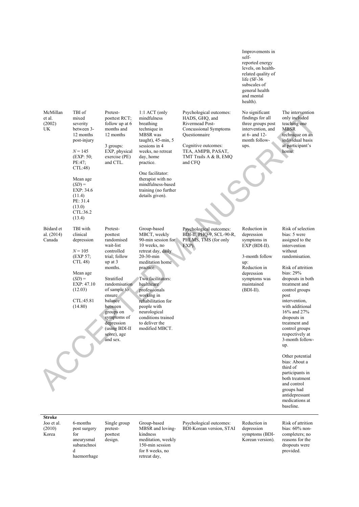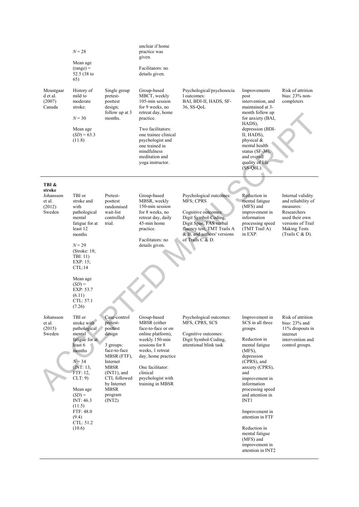|                                                   | $N = 28$<br>Mean age<br>$(range) =$<br>52.5 (38 to<br>65)                                                                                                                                                                               |                                                                                                                                                                                                            | unclear if home<br>practice was<br>given.<br>Facilitators: no<br>details given.                                                                                                                                                             |                                                                                                                                                                                                      |                                                                                                                                                                                                                                                                                                                                                                  |                                                                                                                                                         |
|---------------------------------------------------|-----------------------------------------------------------------------------------------------------------------------------------------------------------------------------------------------------------------------------------------|------------------------------------------------------------------------------------------------------------------------------------------------------------------------------------------------------------|---------------------------------------------------------------------------------------------------------------------------------------------------------------------------------------------------------------------------------------------|------------------------------------------------------------------------------------------------------------------------------------------------------------------------------------------------------|------------------------------------------------------------------------------------------------------------------------------------------------------------------------------------------------------------------------------------------------------------------------------------------------------------------------------------------------------------------|---------------------------------------------------------------------------------------------------------------------------------------------------------|
| Moustgaar<br>d et al.<br>(2007)<br>Canada         | History of<br>mild to<br>moderate<br>stroke.<br>$N = 30$<br>Mean age<br>$(SD) = 63.3$<br>(11.8)                                                                                                                                         | Single group<br>pretest-<br>posttest<br>design;<br>follow up at 3<br>months.                                                                                                                               | Group-based<br>MBCT, weekly<br>105-min session<br>for 9 weeks, no<br>retreat day, home<br>practice.<br>Two facilitators:<br>one trainee clinical<br>psychologist and<br>one trained in<br>mindfulness<br>meditation and<br>voga instructor. | Psychological/psychosocia<br>l outcomes:<br>BAI, BDI-II, HADS, SF-<br>36, SS-QoL                                                                                                                     | Improvements<br>post<br>intervention, and<br>maintained at 3-<br>month follow up<br>for anxiety (BAI,<br>HADS).<br>depression (BDI-<br>II, HADS),<br>physical $\&$<br>mental health<br>status $(SF-36)$ ,<br>and overall<br>quality of life<br>$(SS-QoL)$ .                                                                                                      | Risk of attrition<br>bias: $23%$ non-<br>completers                                                                                                     |
| TBI &                                             |                                                                                                                                                                                                                                         |                                                                                                                                                                                                            |                                                                                                                                                                                                                                             |                                                                                                                                                                                                      |                                                                                                                                                                                                                                                                                                                                                                  |                                                                                                                                                         |
| stroke<br>Johansson<br>et al.<br>(2012)<br>Sweden | TBI or<br>stroke and<br>with<br>pathological<br>mental<br>fatigue for at<br>least 12<br>months<br>$N = 29$<br>(Stroke: $18$ ;<br>TBI: 11)<br>$EXP: 15$ ;<br>CL:14<br>Mean age<br>$(SD) =$<br>EXP: 53.7<br>(6.11)<br>CTL: 57.1<br>(7.26) | Pretest-<br>posttest<br>randomised<br>wait-list<br>controlled<br>trial.                                                                                                                                    | Group-based<br>MBSR, weekly<br>150-min session<br>for 8 weeks, no<br>retreat day, daily<br>45-min home<br>practice.<br>Facilitators: no<br>details given.                                                                                   | Psychological outcomes:<br><b>MFS: CPRS</b><br>Cognitive outcomes:<br>Digit Symbol-Coding,<br>Digit Span, FAS verbal<br>fluency test, TMT Trails A<br>& B, and authors' versions<br>of Trails C & D. | Reduction in<br>mental fatigue<br>(MFS) and<br>improvement in<br>information<br>processing speed<br>(TMT Trail A)<br>in EXP.                                                                                                                                                                                                                                     | Internal validity<br>and reliability of<br>measures:<br>Researchers<br>used their own<br>versions of Trail<br><b>Making Tests</b><br>(Trails $C & D$ ). |
| Johansson<br>et al.<br>(2015)<br>Sweden           | TBI or<br>stroke with<br>pathological<br>mental<br>fatigue for at<br>least 6<br>months<br>$N = 34$<br>(INT: 13,<br>FTF: 12,<br>CLT: 9)<br>Mean age<br>$(SD) =$<br>INT: 46.3<br>(11.5)<br>FTF: 48.0<br>(9.4)<br>CTL: 51.2<br>(10.6)      | Case-control<br>pretest-<br>posttest<br>design<br>3 groups:<br>face-to-face<br>MBSR (FTF),<br>Internet<br><b>MBSR</b><br>$(INT1)$ , and<br>CTL followed<br>by Internet<br><b>MBSR</b><br>program<br>(INT2) | Group-based<br>MBSR (either<br>face-to-face or on<br>online platform),<br>weekly 150-min<br>sessions for 8<br>weeks, 1 retreat<br>day, home practice<br>One facilitator:<br>clinical<br>psychologist with<br>training in MBSR               | Psychological outcomes:<br>MFS, CPRS, SCS<br>Cognitive outcomes:<br>Digit Symbol-Coding,<br>attentional blink task                                                                                   | Improvement in<br>SCS in all three<br>groups.<br>Reduction in<br>mental fatigue<br>$(MFS)$ .<br>depression<br>(CPRS), and<br>anxiety (CPRS),<br>and<br>improvement in<br>information<br>processing speed<br>and attention in<br>INT1<br>Improvement in<br>attention in FTF<br>Reduction in<br>mental fatigue<br>(MFS) and<br>improvement in<br>attention in INT2 | Risk of attrition<br>bias: $23%$ and<br>11% dropouts in<br>internet<br>intervention and<br>control groups.                                              |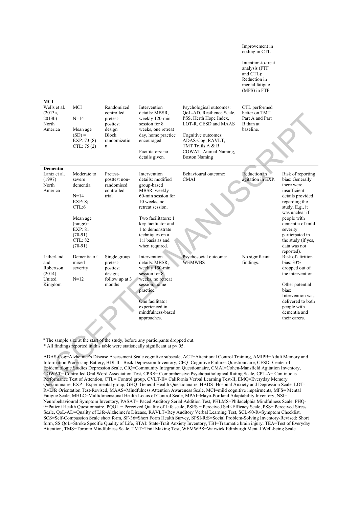|                                                               |                                                                                                                                             |                                                                                                           |                                                                                                                                                                                                                                                         |                                                                                                                                                                                                                                                                                                                                                                                                                                                                                                                                                                                                                                                                                                                                                                                                                                                                                              | Intention-to-treat<br>analysis (FTF<br>and CTL):<br>Reduction in<br>mental fatigue<br>(MFS) in FTF |                                                                                                                                                                                                                                                      |
|---------------------------------------------------------------|---------------------------------------------------------------------------------------------------------------------------------------------|-----------------------------------------------------------------------------------------------------------|---------------------------------------------------------------------------------------------------------------------------------------------------------------------------------------------------------------------------------------------------------|----------------------------------------------------------------------------------------------------------------------------------------------------------------------------------------------------------------------------------------------------------------------------------------------------------------------------------------------------------------------------------------------------------------------------------------------------------------------------------------------------------------------------------------------------------------------------------------------------------------------------------------------------------------------------------------------------------------------------------------------------------------------------------------------------------------------------------------------------------------------------------------------|----------------------------------------------------------------------------------------------------|------------------------------------------------------------------------------------------------------------------------------------------------------------------------------------------------------------------------------------------------------|
| MCI<br>Wells et al.<br>(2013a,<br>2013b)<br>North<br>America  | <b>MCI</b><br>$N = 14$<br>Mean age<br>$(SD) =$<br>EXP: 73 (8)<br>CL: 75(2)                                                                  | Randomized<br>controlled<br>pretest-<br>posttest<br>design<br><b>Block</b><br>randomizatio<br>$\mathbf n$ | Intervention<br>details: MBSR.<br>weekly 120-min<br>session for 8<br>weeks, one retreat<br>day, home practice<br>encouraged.<br>Facilitators: no<br>details given.                                                                                      | Psychological outcomes:<br>QoL-AD, Resilience Scale,<br>PSS, Herth Hope Index,<br>LOT-R, CESD and MAAS<br>Cognitive outcomes:<br>ADAS-Cog, RAVLT,<br>TMT Trails A & B.<br>COWAT, Animal Naming,<br><b>Boston Naming</b>                                                                                                                                                                                                                                                                                                                                                                                                                                                                                                                                                                                                                                                                      | CTL performed<br>better on TMT<br>Part A and Part<br>B than at<br>baseline.                        |                                                                                                                                                                                                                                                      |
| <b>Dementia</b><br>Lantz et al.<br>(1997)<br>North<br>America | Moderate to<br>severe<br>dementia<br>$N = 14$<br>EXP: 8;<br>CTL:6<br>Mean age<br>$(range)=$<br>EXP: 81<br>$(70-91)$<br>CTL: 82<br>$(70-91)$ | Pretest-<br>posttest non-<br>randomised<br>controlled<br>trial                                            | Intervention<br>details: modified<br>group-based<br>MBSR, weekly<br>60-min session for<br>10 weeks, no<br>retreat session.<br>Two facilitators: 1<br>key facilitator and<br>1 to demonstrate<br>techniques on a<br>$1:1$ basis as and<br>when required. | Behavioural outcome:<br><b>CMAI</b>                                                                                                                                                                                                                                                                                                                                                                                                                                                                                                                                                                                                                                                                                                                                                                                                                                                          | Reduction in<br>agitation in EXP.                                                                  | Risk of reporting<br>bias: Generally<br>there were<br>insufficient<br>details provided<br>regarding the<br>study. E.g., it<br>was unclear if<br>people with<br>dementia of mild<br>severity<br>participated in<br>the study (if yes,<br>data was not |
| Litherland<br>and<br>Robertson<br>(2014)<br>United<br>Kingdom | Dementia of<br>mixed<br>severity<br>$N=12$                                                                                                  | Single group<br>pretest-<br>posttest<br>design;<br>follow up at 3<br>months                               | Intervention<br>details: MBSR,<br>weekly 150-min<br>session for 8<br>weeks, no retreat<br>session, home<br>practice.<br>One facilitator<br>experienced in<br>mindfulness-based<br>approaches.                                                           | Psychosocial outcome:<br><b>WEMWBS</b>                                                                                                                                                                                                                                                                                                                                                                                                                                                                                                                                                                                                                                                                                                                                                                                                                                                       | No significant<br>findings.                                                                        | reported).<br>Risk of attrition<br>bias: 33%<br>dropped out of<br>the intervention.<br>Other potential<br>bias:<br>Intervention was<br>delivered to both<br>people with<br>dementia and<br>their carers.                                             |
|                                                               |                                                                                                                                             |                                                                                                           | <sup>a</sup> The sample size at the start of the study, before any participants dropped out.<br>* All findings reported in this table were statistically significant at p<.05.                                                                          | ADAS-Cog=Alzheimer's Disease Assessment Scale cognitive subscale, ACT=Attentional Control Training, AMIPB=Adult Memory and<br>Information Processing Battery, BDI-II= Beck Depression Inventory, CFQ=Cognitive Failures Questionnaire, CESD=Center of<br>Epidemiologic Studies Depression Scale, CIQ=Community Integration Questionnaire, CMAI=Cohen-Mansfield Agitation Inventory,<br>COWAT= Controlled Oral Word Association Test, CPRS= Comprehensive Psychopathological Rating Scale, CPT-A= Continuous<br>Performance Test of Attention, CTL= Control group, CVLT-II= California Verbal Learning Test-II, EMO=Everyday Memory<br>Questionnaire, EXP= Experimental group, GHQ=General Health Questionnaire, HADS=Hospital Anxiety and Depression Scale, LOT-<br>R=Life Orientation Test-Revised, MAAS=Mindfulness Attention Awareness Scale, MCI=mild cognitive impairments, MFS= Mental |                                                                                                    |                                                                                                                                                                                                                                                      |

Improvement in coding in CTL

ADAS-Cog=Alzheimer's Disease Assessment Scale cognitive subscale, ACT=Attentional Control Training, AMIPB=Adult Memory and Information Processing Battery, BDI-II= Beck Depression Inventory, CFQ=Cognitive Failures Questionnaire, CESD=Center of Epidemiologic Studies Depression Scale, CIQ=Community Integration Questionnaire, CMAI=Cohen-Mansfield Agitation Inventory, COWAT= Controlled Oral Word Association Test, CPRS= Comprehensive Psychopathological Rating Scale, CPT-A= Continuous Performance Test of Attention, CTL= Control group, CVLT-II= California Verbal Learning Test-II, EMQ=Everyday Memory Questionnaire, EXP= Experimental group, GHQ=General Health Questionnaire, HADS=Hospital Anxiety and Depression Scale, LOT-R=Life Orientation Test-Revised, MAAS=Mindfulness Attention Awareness Scale, MCI=mild cognitive impairments, MFS= Mental Fatigue Scale, MHLC=Multidimensional Health Locus of Control Scale, MPAI=Mayo-Portland Adaptability Inventory, NSI= Neurobehavioural Symptom Inventory, PASAT= Paced Auditory Serial Addition Test, PHLMS=Philadelphia Mindfulness Scale, PHQ-9=Patient Health Questionnaire, PQOL = Perceived Quality of Life scale, PSES = Perceived Self-Efficacy Scale, PSS= Perceived Stress Scale, QoL-AD=Quality of Life-Alzheimer's Disease, RAVLT=Rey Auditory Verbal Learning Test, SCL-90-R=Symptom Checklist, SCS=Self-Compassion Scale short form, SF-36=Short Form Health Survey, SPSI-R:S=Social Problem-Solving Inventory-Revised: Short form, SS QoL=Stroke Specific Quality of Life, STAI: State-Trait Anxiety Inventory, TBI=Traumatic brain injury, TEA=Test of Everyday Attention, TMS=Toronto Mindfulness Scale, TMT=Trail Making Test, WEMWBS=Warwick Edinburgh Mental Well-being Scale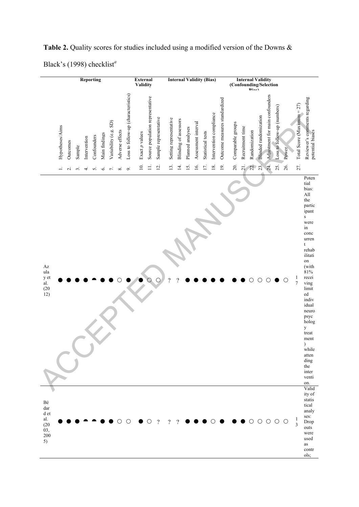| <b>Reporting</b>                                                                                                                  | <b>External</b>                                                                                                    | <b>Internal Validity (Bias)</b>                                                                                                                                             | <b>Internal Validity</b>                                                                                                                                                                                                                                                                                                                                                                     |
|-----------------------------------------------------------------------------------------------------------------------------------|--------------------------------------------------------------------------------------------------------------------|-----------------------------------------------------------------------------------------------------------------------------------------------------------------------------|----------------------------------------------------------------------------------------------------------------------------------------------------------------------------------------------------------------------------------------------------------------------------------------------------------------------------------------------------------------------------------------------|
|                                                                                                                                   | Validity                                                                                                           |                                                                                                                                                                             | (Confounding/Selection                                                                                                                                                                                                                                                                                                                                                                       |
| Variability (e.g. SD)<br>Hypotheses/Aims<br>Adverse effects<br>Main findings<br>Confounders<br>Intervention<br>Outcomes<br>Sample | Loss to follow-up (characteristics)<br>Source population representative<br>Sample representative<br>Exact p values | Outcome measures standardized<br>Intervention compliance<br>Setting representative<br>Blinding of assessors<br>Assessment interval<br>Planned analyses<br>Statistical tests | Adjustment for main confounders<br>Reviewer's comments regarding<br>Total Score (Maximum = 27)<br>Loss to follow-up (numbers)<br><b>Blinded</b> randomization<br>Comparable groups<br>Recruitment time<br>potential biases<br>Randomization<br>Power                                                                                                                                         |
| $\mathrel{\sim}$<br>6.<br>∞<br>$\sim$<br>2.<br>4.<br>5.                                                                           | $\equiv$<br>$\overline{10}$ .<br>12.<br>$\sim$                                                                     | 13.<br>17.<br>$\overline{4}$ .<br>15.<br>16.<br>18.<br>19.                                                                                                                  | 27.<br>20.<br>21.<br>24.<br>25.<br>26.<br>22.<br>23                                                                                                                                                                                                                                                                                                                                          |
| $\mathbf{A}\mathbf{z}$<br>ula<br>y et<br>al.<br>(20)<br>12)                                                                       |                                                                                                                    | $\gamma$                                                                                                                                                                    | Poten<br>tial<br>bias:<br>$\mathbf{All}$<br>the<br>partic<br>ipant<br>$\bf S$<br>were<br>in<br>conc<br>urren<br>t<br>rehab<br>ilitati<br>on<br>(with<br>81%<br>recei<br>$\frac{1}{7}$<br>О<br>O<br>Ο<br>()<br>ving<br>limit<br>${\rm ed}$<br>indiv<br>idual<br>neuro<br>psyc<br>holog<br>$\mathbf y$<br>treat<br>ment<br>$\lambda$<br>while<br>atten<br>ding<br>the<br>inter<br>venti<br>on. |
| Bé<br>$_{\rm dar}$<br>d et<br>al.<br>(20)<br>03,<br>200<br>5)                                                                     | $\overline{\mathcal{L}}$                                                                                           | $\overline{?}$<br>?                                                                                                                                                         | Valid<br>ity of<br>statis<br>tical<br>analy<br>ses:<br>1<br>$\circ$<br>$\circ$<br>Ő<br>$\circlearrowright$<br>Drop<br>3<br>outs<br>were<br>used<br>as<br>contr                                                                                                                                                                                                                               |

ols;

Table 2. Quality scores for studies included using a modified version of the Downs & Black's (1998) checklist*<sup>a</sup>*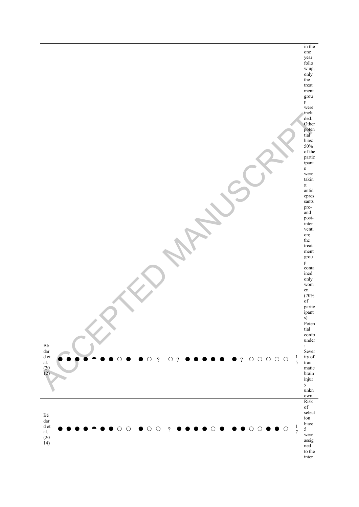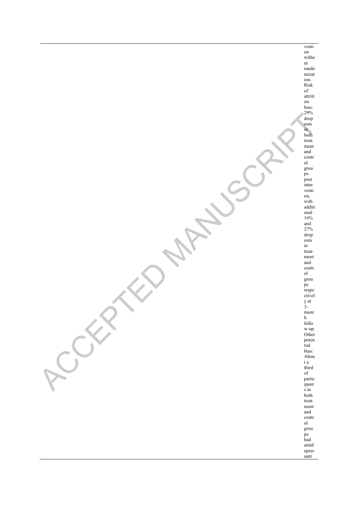venti on witho ut rando mizat ion. Risk of attriti on bias: 29% drop outs in both treat ment and contr ol grou ps post inter venti on, with additi onal 16% and 27% drop outs in treat ment and contr ol grou ps respe ctivel y at 3 mont h follo w-up. Other poten tial bias: Abou t a third of partic ipant s in both treat ment and contr ol grou ps had antid epres sant RACCEPTED MANUSCRIPT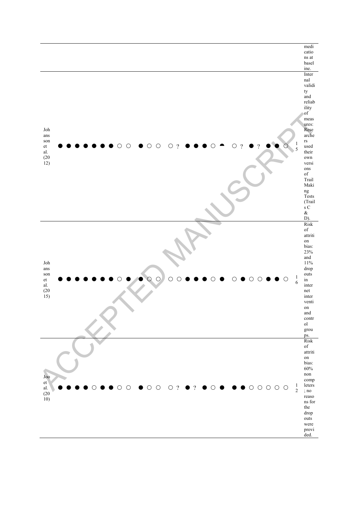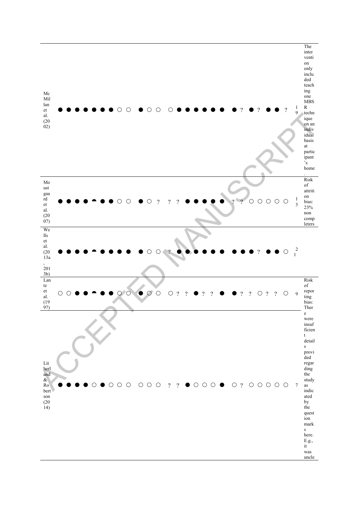